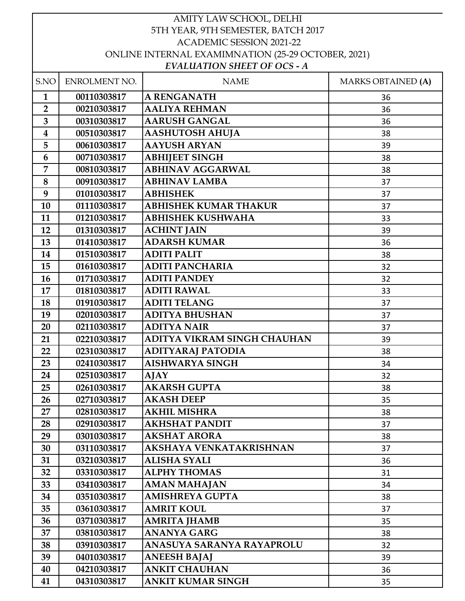| AMITY LAW SCHOOL, DELHI                            |                            |                                     |                           |
|----------------------------------------------------|----------------------------|-------------------------------------|---------------------------|
| 5TH YEAR, 9TH SEMESTER, BATCH 2017                 |                            |                                     |                           |
| <b>ACADEMIC SESSION 2021-22</b>                    |                            |                                     |                           |
| ONLINE INTERNAL EXAMIMNATION (25-29 OCTOBER, 2021) |                            |                                     |                           |
|                                                    |                            | <b>EVALUATION SHEET OF OCS - A</b>  |                           |
| S.NO                                               | ENROLMENT NO.              | <b>NAME</b>                         | <b>MARKS OBTAINED (A)</b> |
| $\mathbf{1}$                                       | 00110303817                | <b>A RENGANATH</b>                  | 36                        |
| $\overline{2}$                                     | 00210303817                | <b>AALIYA REHMAN</b>                | 36                        |
| $\overline{\mathbf{3}}$                            | 00310303817                | <b>AARUSH GANGAL</b>                | 36                        |
| $\boldsymbol{4}$                                   | 00510303817                | <b>AASHUTOSH AHUJA</b>              | 38                        |
| 5                                                  | 00610303817                | <b>AAYUSH ARYAN</b>                 | 39                        |
| 6                                                  | 00710303817                | <b>ABHIJEET SINGH</b>               | 38                        |
| 7                                                  | 00810303817                | <b>ABHINAV AGGARWAL</b>             | 38                        |
| 8                                                  | 00910303817                | <b>ABHINAV LAMBA</b>                | 37                        |
| 9                                                  | 01010303817                | <b>ABHISHEK</b>                     | 37                        |
| 10                                                 | 01110303817                | <b>ABHISHEK KUMAR THAKUR</b>        | 37                        |
| 11                                                 | 01210303817                | <b>ABHISHEK KUSHWAHA</b>            | 33                        |
| 12                                                 | 01310303817                | <b>ACHINT JAIN</b>                  | 39                        |
| 13                                                 | 01410303817                | <b>ADARSH KUMAR</b>                 | 36                        |
| 14                                                 | 01510303817                | <b>ADITI PALIT</b>                  | 38                        |
| 15                                                 | 01610303817                | <b>ADITI PANCHARIA</b>              | 32                        |
| 16                                                 | 01710303817                | <b>ADITI PANDEY</b>                 | 32                        |
| 17                                                 | 01810303817                | <b>ADITI RAWAL</b>                  | 33                        |
| 18                                                 | 01910303817                | <b>ADITI TELANG</b>                 | 37                        |
| 19                                                 | 02010303817                | <b>ADITYA BHUSHAN</b>               | 37                        |
| 20                                                 | 02110303817                | <b>ADITYA NAIR</b>                  | 37                        |
| 21                                                 | 02210303817                | ADITYA VIKRAM SINGH CHAUHAN         | 39                        |
| 22                                                 | 02310303817                | ADITYARAJ PATODIA                   | 38                        |
| 23                                                 | 02410303817                | <b>AISHWARYA SINGH</b>              | 34                        |
| 24                                                 | 02510303817                | AJAY                                | 32                        |
| 25                                                 | 02610303817                | <b>AKARSH GUPTA</b>                 | 38                        |
| 26                                                 | 02710303817                | <b>AKASH DEEP</b>                   | 35                        |
| 27                                                 | 02810303817                | <b>AKHIL MISHRA</b>                 | 38                        |
| 28                                                 |                            | <b>AKHSHAT PANDIT</b>               |                           |
| 29                                                 | 02910303817<br>03010303817 | <b>AKSHAT ARORA</b>                 | 37                        |
|                                                    |                            | AKSHAYA VENKATAKRISHNAN             | 38                        |
| 30                                                 | 03110303817                |                                     | 37                        |
| 31                                                 | 03210303817                | ALISHA SYALI<br><b>ALPHY THOMAS</b> | 36                        |
| 32                                                 | 03310303817                |                                     | 31                        |
| 33                                                 | 03410303817                | <b>AMAN MAHAJAN</b>                 | 34                        |
| 34                                                 | 03510303817                | AMISHREYA GUPTA                     | 38                        |
| 35                                                 | 03610303817                | <b>AMRIT KOUL</b>                   | 37                        |
| 36                                                 | 03710303817                | <b>AMRITA JHAMB</b>                 | 35                        |
| 37                                                 | 03810303817                | <b>ANANYA GARG</b>                  | 38                        |
| 38                                                 | 03910303817                | ANASUYA SARANYA RAYAPROLU           | 32                        |
| 39                                                 | 04010303817                | <b>ANEESH BAJAJ</b>                 | 39                        |
| 40                                                 | 04210303817                | <b>ANKIT CHAUHAN</b>                | 36                        |
| 41                                                 | 04310303817                | <b>ANKIT KUMAR SINGH</b>            | 35                        |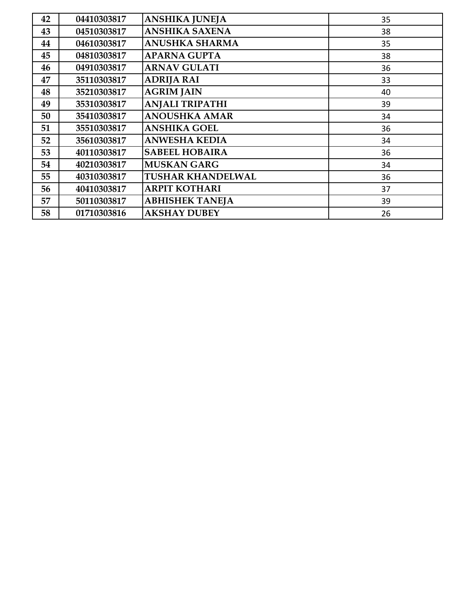| 42 | 04410303817 | <b>ANSHIKA JUNEJA</b>    | 35 |
|----|-------------|--------------------------|----|
| 43 | 04510303817 | <b>ANSHIKA SAXENA</b>    | 38 |
| 44 | 04610303817 | <b>ANUSHKA SHARMA</b>    | 35 |
| 45 | 04810303817 | <b>APARNA GUPTA</b>      | 38 |
| 46 | 04910303817 | <b>ARNAV GULATI</b>      | 36 |
| 47 | 35110303817 | <b>ADRIJA RAI</b>        | 33 |
| 48 | 35210303817 | <b>AGRIM JAIN</b>        | 40 |
| 49 | 35310303817 | <b>ANJALI TRIPATHI</b>   | 39 |
| 50 | 35410303817 | <b>ANOUSHKA AMAR</b>     | 34 |
| 51 | 35510303817 | <b>ANSHIKA GOEL</b>      | 36 |
| 52 | 35610303817 | <b>ANWESHA KEDIA</b>     | 34 |
| 53 | 40110303817 | <b>SABEEL HOBAIRA</b>    | 36 |
| 54 | 40210303817 | <b>MUSKAN GARG</b>       | 34 |
| 55 | 40310303817 | <b>TUSHAR KHANDELWAL</b> | 36 |
| 56 | 40410303817 | <b>ARPIT KOTHARI</b>     | 37 |
| 57 | 50110303817 | <b>ABHISHEK TANEJA</b>   | 39 |
| 58 | 01710303816 | <b>AKSHAY DUBEY</b>      | 26 |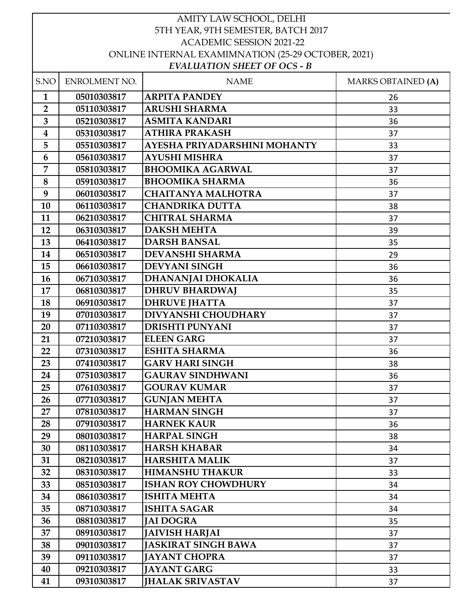| AMITY LAW SCHOOL, DELHI                            |               |                                                     |                           |
|----------------------------------------------------|---------------|-----------------------------------------------------|---------------------------|
| 5TH YEAR, 9TH SEMESTER, BATCH 2017                 |               |                                                     |                           |
| <b>ACADEMIC SESSION 2021-22</b>                    |               |                                                     |                           |
| ONLINE INTERNAL EXAMIMNATION (25-29 OCTOBER, 2021) |               |                                                     |                           |
|                                                    |               | <b>EVALUATION SHEET OF OCS - B</b>                  |                           |
| S.NO                                               | ENROLMENT NO. | <b>NAME</b>                                         | <b>MARKS OBTAINED (A)</b> |
| $\mathbf{1}$                                       | 05010303817   | <b>ARPITA PANDEY</b>                                | 26                        |
| $\overline{2}$                                     | 05110303817   | <b>ARUSHI SHARMA</b>                                | 33                        |
| 3                                                  | 05210303817   | <b>ASMITA KANDARI</b>                               | 36                        |
| $\overline{\mathbf{4}}$                            | 05310303817   | <b>ATHIRA PRAKASH</b>                               | 37                        |
| 5                                                  | 05510303817   | AYESHA PRIYADARSHINI MOHANTY                        | 33                        |
| 6                                                  | 05610303817   | <b>AYUSHI MISHRA</b>                                | 37                        |
| $\overline{7}$                                     | 05810303817   | <b>BHOOMIKA AGARWAL</b>                             | 37                        |
| 8                                                  | 05910303817   | <b>BHOOMIKA SHARMA</b>                              | 36                        |
| 9                                                  | 06010303817   | <b>CHAITANYA MALHOTRA</b>                           | 37                        |
| 10                                                 | 06110303817   | <b>CHANDRIKA DUTTA</b>                              | 38                        |
| 11                                                 | 06210303817   | <b>CHITRAL SHARMA</b>                               | 37                        |
| 12                                                 | 06310303817   | <b>DAKSH MEHTA</b>                                  | 39                        |
| 13                                                 | 06410303817   | <b>DARSH BANSAL</b>                                 | 35                        |
| 14                                                 | 06510303817   | <b>DEVANSHI SHARMA</b>                              | 29                        |
| 15                                                 | 06610303817   | <b>DEVYANI SINGH</b>                                | 36                        |
| 16                                                 | 06710303817   | DHANANJAI DHOKALIA                                  | 36                        |
| 17                                                 | 06810303817   | <b>DHRUV BHARDWAJ</b>                               | 35                        |
| 18                                                 | 06910303817   | <b>DHRUVE JHATTA</b>                                | 37                        |
| 19                                                 | 07010303817   | <b>DIVYANSHI CHOUDHARY</b>                          | 37                        |
| 20                                                 | 07110303817   | <b>DRISHTI PUNYANI</b>                              | 37                        |
| 21                                                 | 07210303817   | <b>ELEEN GARG</b>                                   | 37                        |
| 22                                                 | 07310303817   | <b>ESHITA SHARMA</b>                                | 36                        |
| 23                                                 | 07410303817   | <b>GARV HARI SINGH</b>                              | 38                        |
| 24                                                 | 07510303817   | <b>GAURAV SINDHWANI</b>                             | 36                        |
| 25                                                 | 07610303817   | <b>GOURAV KUMAR</b>                                 | 37                        |
| 26                                                 | 07710303817   | <b>GUNJAN MEHTA</b>                                 | 37                        |
| 27                                                 | 07810303817   | <b>HARMAN SINGH</b>                                 | 37                        |
| 28                                                 | 07910303817   | <b>HARNEK KAUR</b>                                  | 36                        |
| 29                                                 | 08010303817   | <b>HARPAL SINGH</b>                                 | 38                        |
| 30                                                 | 08110303817   | <b>HARSH KHABAR</b>                                 | 34                        |
| 31                                                 | 08210303817   | <b>HARSHITA MALIK</b>                               | 37                        |
| 32                                                 | 08310303817   | <b>HIMANSHU THAKUR</b>                              | 33                        |
| 33                                                 | 08510303817   | <b>ISHAN ROY CHOWDHURY</b>                          | 34                        |
| 34                                                 | 08610303817   | <b>ISHITA MEHTA</b>                                 | 34                        |
| 35                                                 | 08710303817   | <b>ISHITA SAGAR</b>                                 | 34                        |
| 36                                                 | 08810303817   | <b>JAI DOGRA</b>                                    |                           |
|                                                    |               |                                                     | 35                        |
| 37<br>38                                           | 08910303817   | <b>JAIVISH HARJAI</b><br><b>JASKIRAT SINGH BAWA</b> | 37                        |
|                                                    | 09010303817   | <b>JAYANT CHOPRA</b>                                | 37                        |
| 39                                                 | 09110303817   |                                                     | 37                        |
| 40                                                 | 09210303817   | <b>JAYANT GARG</b>                                  | 33                        |
| 41                                                 | 09310303817   | <b>JHALAK SRIVASTAV</b>                             | 37                        |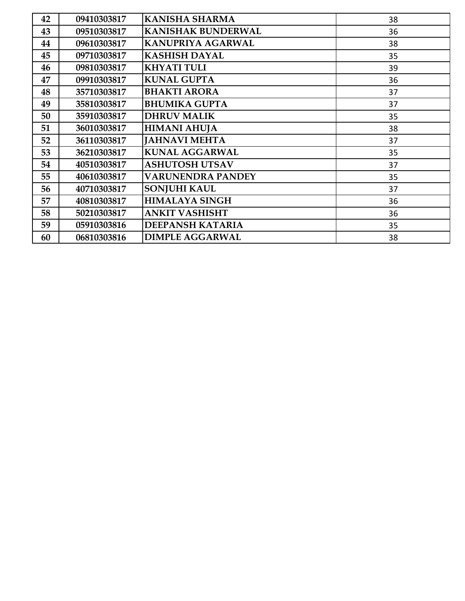| 42 | 09410303817 | <b>KANISHA SHARMA</b>     | 38 |
|----|-------------|---------------------------|----|
| 43 | 09510303817 | <b>KANISHAK BUNDERWAL</b> | 36 |
| 44 | 09610303817 | <b>KANUPRIYA AGARWAL</b>  | 38 |
| 45 | 09710303817 | <b>KASHISH DAYAL</b>      | 35 |
| 46 | 09810303817 | <b>KHYATI TULI</b>        | 39 |
| 47 | 09910303817 | <b>KUNAL GUPTA</b>        | 36 |
| 48 | 35710303817 | <b>BHAKTI ARORA</b>       | 37 |
| 49 | 35810303817 | <b>BHUMIKA GUPTA</b>      | 37 |
| 50 | 35910303817 | <b>DHRUV MALIK</b>        | 35 |
| 51 | 36010303817 | <b>HIMANI AHUJA</b>       | 38 |
| 52 | 36110303817 | <b>JAHNAVI MEHTA</b>      | 37 |
| 53 | 36210303817 | <b>KUNAL AGGARWAL</b>     | 35 |
| 54 | 40510303817 | <b>ASHUTOSH UTSAV</b>     | 37 |
| 55 | 40610303817 | <b>VARUNENDRA PANDEY</b>  | 35 |
| 56 | 40710303817 | <b>SONJUHI KAUL</b>       | 37 |
| 57 | 40810303817 | <b>HIMALAYA SINGH</b>     | 36 |
| 58 | 50210303817 | <b>ANKIT VASHISHT</b>     | 36 |
| 59 | 05910303816 | <b>DEEPANSH KATARIA</b>   | 35 |
| 60 | 06810303816 | <b>DIMPLE AGGARWAL</b>    | 38 |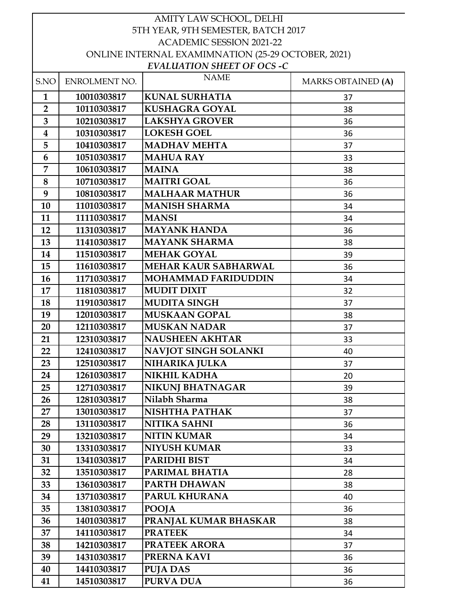| AMITY LAW SCHOOL, DELHI            |               |                                                    |                           |
|------------------------------------|---------------|----------------------------------------------------|---------------------------|
| 5TH YEAR, 9TH SEMESTER, BATCH 2017 |               |                                                    |                           |
| <b>ACADEMIC SESSION 2021-22</b>    |               |                                                    |                           |
|                                    |               | ONLINE INTERNAL EXAMIMNATION (25-29 OCTOBER, 2021) |                           |
|                                    |               | <b>EVALUATION SHEET OF OCS -C</b>                  |                           |
| S.NO                               | ENROLMENT NO. | <b>NAME</b>                                        | <b>MARKS OBTAINED (A)</b> |
| $\mathbf{1}$                       | 10010303817   | <b>KUNAL SURHATIA</b>                              | 37                        |
| $\overline{2}$                     | 10110303817   | <b>KUSHAGRA GOYAL</b>                              | 38                        |
| 3                                  | 10210303817   | <b>LAKSHYA GROVER</b>                              | 36                        |
| $\boldsymbol{4}$                   | 10310303817   | <b>LOKESH GOEL</b>                                 | 36                        |
| 5                                  | 10410303817   | <b>MADHAV MEHTA</b>                                | 37                        |
| 6                                  | 10510303817   | <b>MAHUA RAY</b>                                   | 33                        |
| 7                                  | 10610303817   | <b>MAINA</b>                                       | 38                        |
| 8                                  | 10710303817   | <b>MAITRI GOAL</b>                                 | 36                        |
| 9                                  | 10810303817   | <b>MALHAAR MATHUR</b>                              | 36                        |
| 10                                 | 11010303817   | <b>MANISH SHARMA</b>                               | 34                        |
| 11                                 | 11110303817   | <b>MANSI</b>                                       | 34                        |
| 12                                 | 11310303817   | <b>MAYANK HANDA</b>                                | 36                        |
| 13                                 | 11410303817   | <b>MAYANK SHARMA</b>                               | 38                        |
| 14                                 | 11510303817   | <b>MEHAK GOYAL</b>                                 | 39                        |
| 15                                 | 11610303817   | <b>MEHAR KAUR SABHARWAL</b>                        | 36                        |
| 16                                 | 11710303817   | <b>MOHAMMAD FARIDUDDIN</b>                         | 34                        |
| 17                                 | 11810303817   | <b>MUDIT DIXIT</b>                                 | 32                        |
| 18                                 | 11910303817   | <b>MUDITA SINGH</b>                                | 37                        |
| 19                                 | 12010303817   | <b>MUSKAAN GOPAL</b>                               | 38                        |
| 20                                 | 12110303817   | <b>MUSKAN NADAR</b>                                | 37                        |
| 21                                 | 12310303817   | <b>NAUSHEEN AKHTAR</b>                             | 33                        |
| 22                                 | 12410303817   | NAVJOT SINGH SOLANKI                               | 40                        |
| 23                                 | 12510303817   | NIHARIKA JULKA                                     | 37                        |
| 24                                 | 12610303817   | <b>NIKHIL KADHA</b>                                | 20                        |
| 25                                 | 12710303817   | <b>NIKUNJ BHATNAGAR</b>                            | 39                        |
| 26                                 | 12810303817   | Nilabh Sharma                                      | 38                        |
| 27                                 | 13010303817   | NISHTHA PATHAK                                     | 37                        |
| 28                                 | 13110303817   | <b>NITIKA SAHNI</b>                                | 36                        |
| 29                                 | 13210303817   | <b>NITIN KUMAR</b>                                 | 34                        |
| 30                                 | 13310303817   | <b>NIYUSH KUMAR</b>                                | 33                        |
| 31                                 | 13410303817   | <b>PARIDHI BIST</b>                                | 34                        |
| 32                                 | 13510303817   | PARIMAL BHATIA                                     | 28                        |
| 33                                 | 13610303817   | PARTH DHAWAN                                       | 38                        |
| 34                                 | 13710303817   | <b>PARUL KHURANA</b>                               | 40                        |
| 35                                 | 13810303817   | <b>POOJA</b>                                       | 36                        |
| 36                                 | 14010303817   | PRANJAL KUMAR BHASKAR                              |                           |
| 37                                 | 14110303817   | <b>PRATEEK</b>                                     | 38<br>34                  |
| 38                                 |               | <b>PRATEEK ARORA</b>                               |                           |
|                                    | 14210303817   |                                                    | 37                        |
| 39                                 | 14310303817   | PRERNA KAVI                                        | 36                        |
| 40                                 | 14410303817   | <b>PUJA DAS</b>                                    | 36                        |
| 41                                 | 14510303817   | <b>PURVA DUA</b>                                   | 36                        |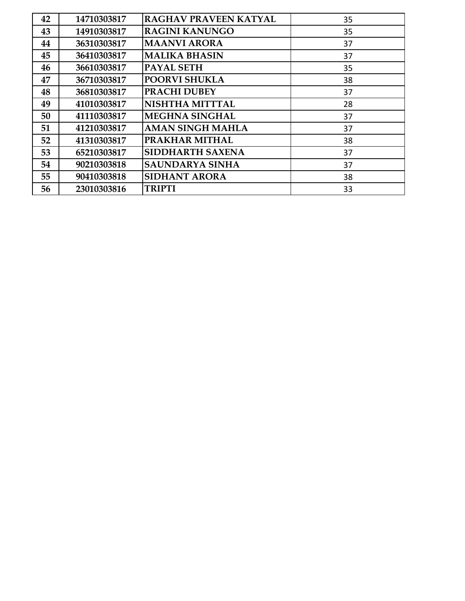| 42 | 14710303817 | RAGHAV PRAVEEN KATYAL   | 35 |
|----|-------------|-------------------------|----|
| 43 | 14910303817 | <b>RAGINI KANUNGO</b>   | 35 |
| 44 | 36310303817 | <b>MAANVI ARORA</b>     | 37 |
| 45 | 36410303817 | <b>MALIKA BHASIN</b>    | 37 |
| 46 | 36610303817 | <b>PAYAL SETH</b>       | 35 |
| 47 | 36710303817 | <b>POORVI SHUKLA</b>    | 38 |
| 48 | 36810303817 | <b>PRACHI DUBEY</b>     | 37 |
| 49 | 41010303817 | <b>NISHTHA MITTTAL</b>  | 28 |
| 50 | 41110303817 | <b>MEGHNA SINGHAL</b>   | 37 |
| 51 | 41210303817 | <b>AMAN SINGH MAHLA</b> | 37 |
| 52 | 41310303817 | PRAKHAR MITHAL          | 38 |
| 53 | 65210303817 | <b>SIDDHARTH SAXENA</b> | 37 |
| 54 | 90210303818 | <b>SAUNDARYA SINHA</b>  | 37 |
| 55 | 90410303818 | SIDHANT ARORA           | 38 |
| 56 | 23010303816 | <b>TRIPTI</b>           | 33 |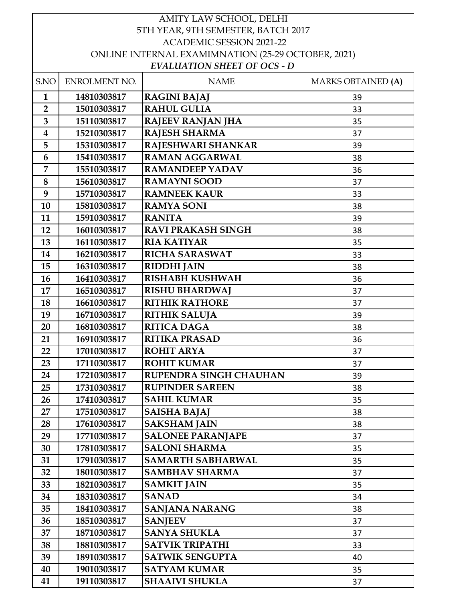| AMITY LAW SCHOOL, DELHI                            |               |                                    |                           |
|----------------------------------------------------|---------------|------------------------------------|---------------------------|
| 5TH YEAR, 9TH SEMESTER, BATCH 2017                 |               |                                    |                           |
| <b>ACADEMIC SESSION 2021-22</b>                    |               |                                    |                           |
| ONLINE INTERNAL EXAMIMNATION (25-29 OCTOBER, 2021) |               |                                    |                           |
|                                                    |               | <b>EVALUATION SHEET OF OCS - D</b> |                           |
| S.NO                                               | ENROLMENT NO. | <b>NAME</b>                        | <b>MARKS OBTAINED (A)</b> |
| $\mathbf{1}$                                       | 14810303817   | <b>RAGINI BAJAJ</b>                | 39                        |
| $\overline{2}$                                     | 15010303817   | <b>RAHUL GULIA</b>                 | 33                        |
| 3                                                  | 15110303817   | <b>RAJEEV RANJAN JHA</b>           | 35                        |
| $\boldsymbol{4}$                                   | 15210303817   | <b>RAJESH SHARMA</b>               | 37                        |
| 5                                                  | 15310303817   | RAJESHWARI SHANKAR                 | 39                        |
| 6                                                  | 15410303817   | <b>RAMAN AGGARWAL</b>              | 38                        |
| 7                                                  | 15510303817   | <b>RAMANDEEP YADAV</b>             | 36                        |
| 8                                                  | 15610303817   | <b>RAMAYNI SOOD</b>                | 37                        |
| 9                                                  | 15710303817   | <b>RAMNEEK KAUR</b>                | 33                        |
| 10                                                 | 15810303817   | <b>RAMYA SONI</b>                  | 38                        |
| 11                                                 | 15910303817   | <b>RANITA</b>                      | 39                        |
| 12                                                 | 16010303817   | <b>RAVI PRAKASH SINGH</b>          | 38                        |
| 13                                                 | 16110303817   | <b>RIA KATIYAR</b>                 | 35                        |
| 14                                                 | 16210303817   | <b>RICHA SARASWAT</b>              | 33                        |
| 15                                                 | 16310303817   | <b>RIDDHI JAIN</b>                 | 38                        |
| 16                                                 | 16410303817   | <b>RISHABH KUSHWAH</b>             | 36                        |
| 17                                                 | 16510303817   | <b>RISHU BHARDWAJ</b>              | 37                        |
| 18                                                 | 16610303817   | <b>RITHIK RATHORE</b>              | 37                        |
| 19                                                 | 16710303817   | <b>RITHIK SALUJA</b>               | 39                        |
| 20                                                 | 16810303817   | <b>RITICA DAGA</b>                 | 38                        |
| 21                                                 | 16910303817   | <b>RITIKA PRASAD</b>               | 36                        |
| 22                                                 | 17010303817   | <b>ROHIT ARYA</b>                  | 37                        |
| 23                                                 | 17110303817   | <b>ROHIT KUMAR</b>                 | 37                        |
| 24                                                 | 17210303817   | <b>RUPENDRA SINGH CHAUHAN</b>      | 39                        |
| 25                                                 | 17310303817   | <b>RUPINDER SAREEN</b>             | 38                        |
| 26                                                 | 17410303817   | <b>SAHIL KUMAR</b>                 | 35                        |
| 27                                                 | 17510303817   | <b>SAISHA BAJAJ</b>                | 38                        |
| 28                                                 | 17610303817   | <b>SAKSHAM JAIN</b>                | 38                        |
| 29                                                 | 17710303817   | <b>SALONEE PARANJAPE</b>           |                           |
| 30                                                 |               | <b>SALONI SHARMA</b>               | 37                        |
|                                                    | 17810303817   |                                    | 35                        |
| 31                                                 | 17910303817   | <b>SAMARTH SABHARWAL</b>           | 35                        |
| 32                                                 | 18010303817   | <b>SAMBHAV SHARMA</b>              | 37                        |
| 33                                                 | 18210303817   | <b>SAMKIT JAIN</b>                 | 35                        |
| 34                                                 | 18310303817   | <b>SANAD</b>                       | 34                        |
| 35                                                 | 18410303817   | <b>SANJANA NARANG</b>              | 38                        |
| 36                                                 | 18510303817   | <b>SANJEEV</b>                     | 37                        |
| 37                                                 | 18710303817   | <b>SANYA SHUKLA</b>                | 37                        |
| 38                                                 | 18810303817   | <b>SATVIK TRIPATHI</b>             | 33                        |
| 39                                                 | 18910303817   | <b>SATWIK SENGUPTA</b>             | 40                        |
| 40                                                 | 19010303817   | <b>SATYAM KUMAR</b>                | 35                        |
| 41                                                 | 19110303817   | <b>SHAAIVI SHUKLA</b>              | 37                        |